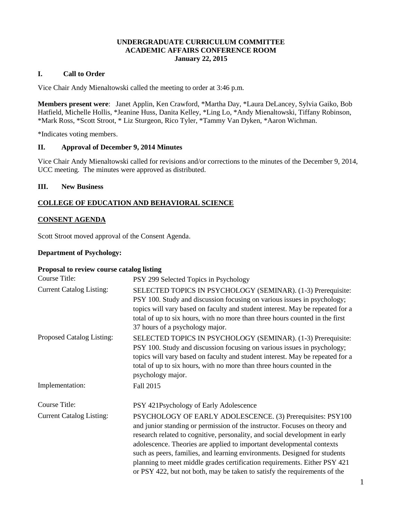#### **UNDERGRADUATE CURRICULUM COMMITTEE ACADEMIC AFFAIRS CONFERENCE ROOM January 22, 2015**

## **I. Call to Order**

Vice Chair Andy Mienaltowski called the meeting to order at 3:46 p.m.

**Members present were**: Janet Applin, Ken Crawford, \*Martha Day, \*Laura DeLancey, Sylvia Gaiko, Bob Hatfield, Michelle Hollis, \*Jeanine Huss, Danita Kelley, \*Ling Lo, \*Andy Mienaltowski, Tiffany Robinson, \*Mark Ross, \*Scott Stroot, \* Liz Sturgeon, Rico Tyler, \*Tammy Van Dyken, \*Aaron Wichman.

\*Indicates voting members.

#### **II. Approval of December 9, 2014 Minutes**

Vice Chair Andy Mienaltowski called for revisions and/or corrections to the minutes of the December 9, 2014, UCC meeting. The minutes were approved as distributed.

#### **III. New Business**

# **COLLEGE OF EDUCATION AND BEHAVIORAL SCIENCE**

## **CONSENT AGENDA**

Scott Stroot moved approval of the Consent Agenda.

#### **Department of Psychology:**

### **Proposal to review course catalog listing**

| Course Title:                   | PSY 299 Selected Topics in Psychology                                                                                                                                                                                                                                                                                                                                                                                                                                                                                                   |
|---------------------------------|-----------------------------------------------------------------------------------------------------------------------------------------------------------------------------------------------------------------------------------------------------------------------------------------------------------------------------------------------------------------------------------------------------------------------------------------------------------------------------------------------------------------------------------------|
| <b>Current Catalog Listing:</b> | SELECTED TOPICS IN PSYCHOLOGY (SEMINAR). (1-3) Prerequisite:<br>PSY 100. Study and discussion focusing on various issues in psychology;<br>topics will vary based on faculty and student interest. May be repeated for a<br>total of up to six hours, with no more than three hours counted in the first<br>37 hours of a psychology major.                                                                                                                                                                                             |
| Proposed Catalog Listing:       | SELECTED TOPICS IN PSYCHOLOGY (SEMINAR). (1-3) Prerequisite:<br>PSY 100. Study and discussion focusing on various issues in psychology;<br>topics will vary based on faculty and student interest. May be repeated for a<br>total of up to six hours, with no more than three hours counted in the<br>psychology major.                                                                                                                                                                                                                 |
| Implementation:                 | Fall 2015                                                                                                                                                                                                                                                                                                                                                                                                                                                                                                                               |
| Course Title:                   | PSY 421Psychology of Early Adolescence                                                                                                                                                                                                                                                                                                                                                                                                                                                                                                  |
| <b>Current Catalog Listing:</b> | PSYCHOLOGY OF EARLY ADOLESCENCE. (3) Prerequisites: PSY100<br>and junior standing or permission of the instructor. Focuses on theory and<br>research related to cognitive, personality, and social development in early<br>adolescence. Theories are applied to important developmental contexts<br>such as peers, families, and learning environments. Designed for students<br>planning to meet middle grades certification requirements. Either PSY 421<br>or PSY 422, but not both, may be taken to satisfy the requirements of the |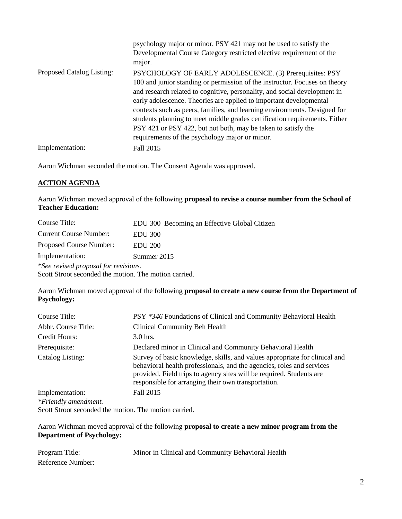|                           | psychology major or minor. PSY 421 may not be used to satisfy the<br>Developmental Course Category restricted elective requirement of the<br>major.                                                                                                                                                                                                                                                                                                                                                                                                                    |
|---------------------------|------------------------------------------------------------------------------------------------------------------------------------------------------------------------------------------------------------------------------------------------------------------------------------------------------------------------------------------------------------------------------------------------------------------------------------------------------------------------------------------------------------------------------------------------------------------------|
| Proposed Catalog Listing: | PSYCHOLOGY OF EARLY ADOLESCENCE. (3) Prerequisites: PSY<br>100 and junior standing or permission of the instructor. Focuses on theory<br>and research related to cognitive, personality, and social development in<br>early adolescence. Theories are applied to important developmental<br>contexts such as peers, families, and learning environments. Designed for<br>students planning to meet middle grades certification requirements. Either<br>PSY 421 or PSY 422, but not both, may be taken to satisfy the<br>requirements of the psychology major or minor. |
| Implementation:           | Fall 2015                                                                                                                                                                                                                                                                                                                                                                                                                                                                                                                                                              |

Aaron Wichman seconded the motion. The Consent Agenda was approved.

# **ACTION AGENDA**

Aaron Wichman moved approval of the following **proposal to revise a course number from the School of Teacher Education:**

| Course Title:                                         | EDU 300 Becoming an Effective Global Citizen |  |
|-------------------------------------------------------|----------------------------------------------|--|
| <b>Current Course Number:</b>                         | <b>EDU 300</b>                               |  |
| Proposed Course Number:                               | <b>EDU</b> 200                               |  |
| Implementation:                                       | Summer 2015                                  |  |
| *See revised proposal for revisions.                  |                                              |  |
| Scott Stroot seconded the motion. The motion carried. |                                              |  |

Aaron Wichman moved approval of the following **proposal to create a new course from the Department of Psychology:**

| Course Title:                           | PSY *346 Foundations of Clinical and Community Behavioral Health                                                                                                                                                                                                                   |
|-----------------------------------------|------------------------------------------------------------------------------------------------------------------------------------------------------------------------------------------------------------------------------------------------------------------------------------|
| Abbr. Course Title:                     | Clinical Community Beh Health                                                                                                                                                                                                                                                      |
| Credit Hours:                           | $3.0$ hrs.                                                                                                                                                                                                                                                                         |
| Prerequisite:                           | Declared minor in Clinical and Community Behavioral Health                                                                                                                                                                                                                         |
| Catalog Listing:                        | Survey of basic knowledge, skills, and values appropriate for clinical and<br>behavioral health professionals, and the agencies, roles and services<br>provided. Field trips to agency sites will be required. Students are<br>responsible for arranging their own transportation. |
| Implementation:<br>*Friendly amendment. | Fall 2015                                                                                                                                                                                                                                                                          |
|                                         |                                                                                                                                                                                                                                                                                    |

Scott Stroot seconded the motion. The motion carried.

Aaron Wichman moved approval of the following **proposal to create a new minor program from the Department of Psychology:**

| Program Title:    | Minor in Clinical and Community Behavioral Health |
|-------------------|---------------------------------------------------|
| Reference Number: |                                                   |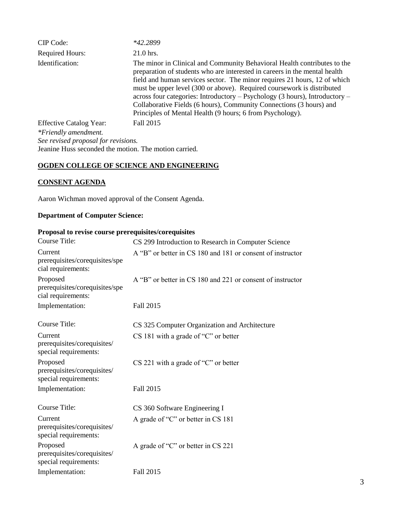| CIP Code:                                             | *42.2899                                                                                                                                                                                                                                                                                                                                                                                                                                                                                                                         |
|-------------------------------------------------------|----------------------------------------------------------------------------------------------------------------------------------------------------------------------------------------------------------------------------------------------------------------------------------------------------------------------------------------------------------------------------------------------------------------------------------------------------------------------------------------------------------------------------------|
| <b>Required Hours:</b>                                | 21.0 hrs.                                                                                                                                                                                                                                                                                                                                                                                                                                                                                                                        |
| Identification:                                       | The minor in Clinical and Community Behavioral Health contributes to the<br>preparation of students who are interested in careers in the mental health<br>field and human services sector. The minor requires 21 hours, 12 of which<br>must be upper level (300 or above). Required coursework is distributed<br>across four categories: Introductory - Psychology (3 hours), Introductory -<br>Collaborative Fields (6 hours), Community Connections (3 hours) and<br>Principles of Mental Health (9 hours; 6 from Psychology). |
| <b>Effective Catalog Year:</b>                        | Fall 2015                                                                                                                                                                                                                                                                                                                                                                                                                                                                                                                        |
| *Friendly amendment.                                  |                                                                                                                                                                                                                                                                                                                                                                                                                                                                                                                                  |
| See revised proposal for revisions.                   |                                                                                                                                                                                                                                                                                                                                                                                                                                                                                                                                  |
| Jeanine Huss seconded the motion. The motion carried. |                                                                                                                                                                                                                                                                                                                                                                                                                                                                                                                                  |

## **OGDEN COLLEGE OF SCIENCE AND ENGINEERING**

# **CONSENT AGENDA**

Aaron Wichman moved approval of the Consent Agenda.

# **Department of Computer Science:**

# **Proposal to revise course prerequisites/corequisites**

| <b>Course Title:</b>                                             | CS 299 Introduction to Research in Computer Science        |
|------------------------------------------------------------------|------------------------------------------------------------|
| Current<br>prerequisites/corequisites/spe<br>cial requirements:  | A "B" or better in CS 180 and 181 or consent of instructor |
| Proposed<br>prerequisites/corequisites/spe<br>cial requirements: | A "B" or better in CS 180 and 221 or consent of instructor |
| Implementation:                                                  | Fall 2015                                                  |
| Course Title:                                                    | CS 325 Computer Organization and Architecture              |
| Current<br>prerequisites/corequisites/<br>special requirements:  | $CS$ 181 with a grade of "C" or better                     |
| Proposed<br>prerequisites/corequisites/<br>special requirements: | $CS$ 221 with a grade of "C" or better                     |
| Implementation:                                                  | Fall 2015                                                  |
| Course Title:                                                    | CS 360 Software Engineering I                              |
| Current<br>prerequisites/corequisites/<br>special requirements:  | A grade of "C" or better in CS 181                         |
| Proposed<br>prerequisites/corequisites/<br>special requirements: | A grade of "C" or better in CS 221                         |
| Implementation:                                                  | Fall 2015                                                  |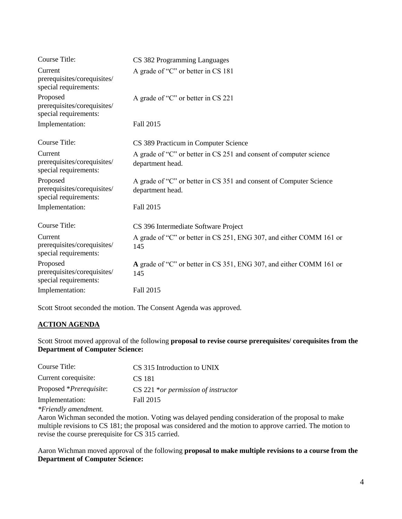| Course Title:                                                    | CS 382 Programming Languages                                                           |
|------------------------------------------------------------------|----------------------------------------------------------------------------------------|
| Current<br>prerequisites/corequisites/<br>special requirements:  | A grade of "C" or better in CS 181                                                     |
| Proposed<br>prerequisites/corequisites/<br>special requirements: | A grade of "C" or better in CS 221                                                     |
| Implementation:                                                  | Fall 2015                                                                              |
| Course Title:                                                    | CS 389 Practicum in Computer Science                                                   |
| Current<br>prerequisites/corequisites/<br>special requirements:  | A grade of "C" or better in CS 251 and consent of computer science<br>department head. |
| Proposed<br>prerequisites/corequisites/<br>special requirements: | A grade of "C" or better in CS 351 and consent of Computer Science<br>department head. |
| Implementation:                                                  | Fall 2015                                                                              |
| <b>Course Title:</b>                                             | CS 396 Intermediate Software Project                                                   |
| Current<br>prerequisites/corequisites/<br>special requirements:  | A grade of "C" or better in CS 251, ENG 307, and either COMM 161 or<br>145             |
| Proposed<br>prerequisites/corequisites/<br>special requirements: | A grade of "C" or better in CS 351, ENG 307, and either COMM 161 or<br>145             |
| Implementation:                                                  | Fall 2015                                                                              |

Scott Stroot seconded the motion. The Consent Agenda was approved.

# **ACTION AGENDA**

Scott Stroot moved approval of the following **proposal to revise course prerequisites/ corequisites from the Department of Computer Science:**

| Course Title:                    | CS 315 Introduction to UNIX           |
|----------------------------------|---------------------------------------|
| Current corequisite:             | CS 181                                |
| Proposed * <i>Prerequisite</i> : | $CS$ 221 *or permission of instructor |
| Implementation:                  | Fall 2015                             |
|                                  |                                       |

*\*Friendly amendment.*

Aaron Wichman seconded the motion. Voting was delayed pending consideration of the proposal to make multiple revisions to CS 181; the proposal was considered and the motion to approve carried. The motion to revise the course prerequisite for CS 315 carried.

Aaron Wichman moved approval of the following **proposal to make multiple revisions to a course from the Department of Computer Science:**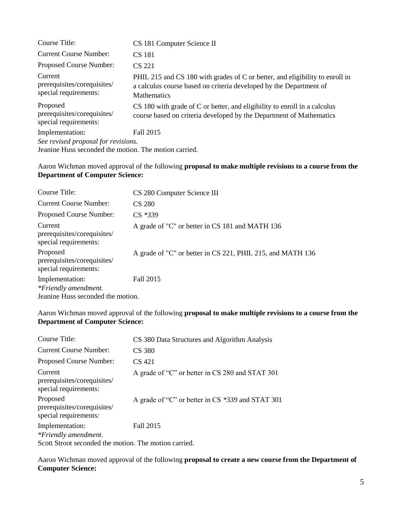| Course Title:                                                                                | CS 181 Computer Science II                                                                                                                                               |  |
|----------------------------------------------------------------------------------------------|--------------------------------------------------------------------------------------------------------------------------------------------------------------------------|--|
| <b>Current Course Number:</b>                                                                | CS 181                                                                                                                                                                   |  |
| Proposed Course Number:                                                                      | CS 221                                                                                                                                                                   |  |
| Current<br>prerequisites/corequisites/<br>special requirements:                              | PHIL 215 and CS 180 with grades of C or better, and eligibility to enroll in<br>a calculus course based on criteria developed by the Department of<br><b>Mathematics</b> |  |
| Proposed<br>prerequisites/corequisites/<br>special requirements:                             | CS 180 with grade of C or better, and eligibility to enroll in a calculus<br>course based on criteria developed by the Department of Mathematics                         |  |
| Implementation:                                                                              | Fall 2015                                                                                                                                                                |  |
| See revised proposal for revisions.<br>Jeanine Huss seconded the motion. The motion carried. |                                                                                                                                                                          |  |

# Aaron Wichman moved approval of the following **proposal to make multiple revisions to a course from the Department of Computer Science:**

| Course Title:                                                    | CS 280 Computer Science III                                |
|------------------------------------------------------------------|------------------------------------------------------------|
| <b>Current Course Number:</b>                                    | <b>CS 280</b>                                              |
| Proposed Course Number:                                          | $CS$ *339                                                  |
| Current<br>prerequisites/corequisites/<br>special requirements:  | A grade of "C" or better in CS 181 and MATH 136            |
| Proposed<br>prerequisites/corequisites/<br>special requirements: | A grade of "C" or better in CS 221, PHIL 215, and MATH 136 |
| Implementation:                                                  | Fall 2015                                                  |
| *Friendly amendment.                                             |                                                            |
| Jeanine Huss seconded the motion.                                |                                                            |

# Aaron Wichman moved approval of the following **proposal to make multiple revisions to a course from the Department of Computer Science:**

| Course Title:                                                    | CS 380 Data Structures and Algorithm Analysis    |
|------------------------------------------------------------------|--------------------------------------------------|
| <b>Current Course Number:</b>                                    | <b>CS 380</b>                                    |
| Proposed Course Number:                                          | CS 421                                           |
| Current<br>prerequisites/corequisites/<br>special requirements:  | A grade of "C" or better in CS 280 and STAT 301  |
| Proposed<br>prerequisites/corequisites/<br>special requirements: | A grade of "C" or better in CS *339 and STAT 301 |
| Implementation:                                                  | Fall 2015                                        |
| *Friendly amendment.                                             |                                                  |
| Scott Stroot seconded the motion. The motion carried.            |                                                  |

Aaron Wichman moved approval of the following **proposal to create a new course from the Department of Computer Science:**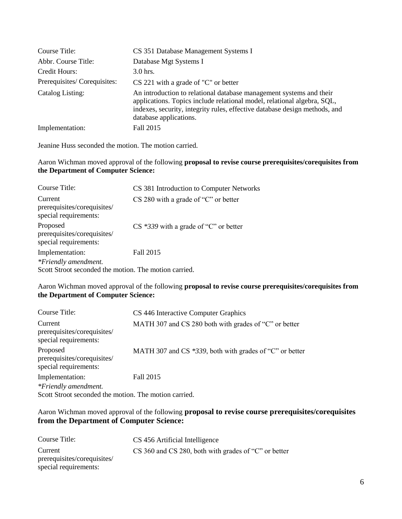| Course Title:               | CS 351 Database Management Systems I                                                                                                                                                                                                                   |
|-----------------------------|--------------------------------------------------------------------------------------------------------------------------------------------------------------------------------------------------------------------------------------------------------|
| Abbr. Course Title:         | Database Mgt Systems I                                                                                                                                                                                                                                 |
| Credit Hours:               | $3.0$ hrs.                                                                                                                                                                                                                                             |
| Prerequisites/Corequisites: | CS 221 with a grade of "C" or better                                                                                                                                                                                                                   |
| Catalog Listing:            | An introduction to relational database management systems and their<br>applications. Topics include relational model, relational algebra, SQL,<br>indexes, security, integrity rules, effective database design methods, and<br>database applications. |
| Implementation:             | Fall 2015                                                                                                                                                                                                                                              |

Jeanine Huss seconded the motion. The motion carried.

# Aaron Wichman moved approval of the following **proposal to revise course prerequisites/corequisites from the Department of Computer Science:**

| Course Title:                                                    | CS 381 Introduction to Computer Networks |
|------------------------------------------------------------------|------------------------------------------|
| Current<br>prerequisites/corequisites/<br>special requirements:  | $CS$ 280 with a grade of "C" or better   |
| Proposed<br>prerequisites/corequisites/<br>special requirements: | $CS$ *339 with a grade of "C" or better  |
| Implementation:                                                  | Fall 2015                                |
| *Friendly amendment.                                             |                                          |
| Scott Stroot seconded the motion. The motion carried.            |                                          |

## Aaron Wichman moved approval of the following **proposal to revise course prerequisites/corequisites from the Department of Computer Science:**

| Course Title:                                                    | CS 446 Interactive Computer Graphics                       |
|------------------------------------------------------------------|------------------------------------------------------------|
| Current<br>prerequisites/corequisites/<br>special requirements:  | MATH 307 and CS 280 both with grades of "C" or better      |
| Proposed<br>prerequisites/corequisites/<br>special requirements: | MATH 307 and CS $*339$ , both with grades of "C" or better |
| Implementation:                                                  | Fall 2015                                                  |
| *Friendly amendment.                                             |                                                            |
| Scott Stroot seconded the motion. The motion carried.            |                                                            |

# Aaron Wichman moved approval of the following **proposal to revise course prerequisites/corequisites from the Department of Computer Science:**

| Course Title:               | CS 456 Artificial Intelligence                       |
|-----------------------------|------------------------------------------------------|
| Current                     | CS 360 and CS 280, both with grades of "C" or better |
| prerequisites/corequisites/ |                                                      |
| special requirements:       |                                                      |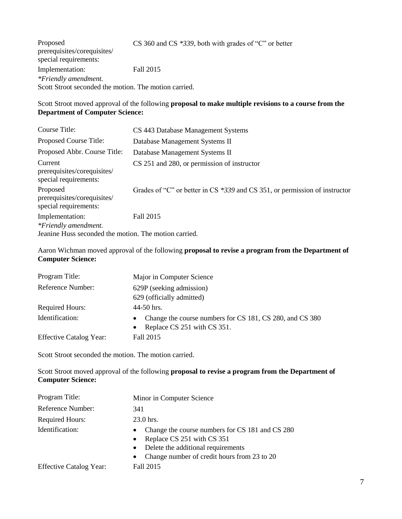Proposed prerequisites/corequisites/ special requirements: CS 360 and CS *\*339*, both with grades of "C" or better Implementation: Fall 2015 *\*Friendly amendment.* Scott Stroot seconded the motion. The motion carried.

# Scott Stroot moved approval of the following **proposal to make multiple revisions to a course from the Department of Computer Science:**

| Course Title:                                                    | CS 443 Database Management Systems                                         |
|------------------------------------------------------------------|----------------------------------------------------------------------------|
| Proposed Course Title:                                           | Database Management Systems II                                             |
| Proposed Abbr. Course Title:                                     | Database Management Systems II                                             |
| Current<br>prerequisites/corequisites/<br>special requirements:  | CS 251 and 280, or permission of instructor                                |
| Proposed<br>prerequisites/corequisites/<br>special requirements: | Grades of "C" or better in CS *339 and CS 351, or permission of instructor |
| Implementation:                                                  | Fall 2015                                                                  |
| *Friendly amendment.                                             |                                                                            |
| Jeanine Huss seconded the motion. The motion carried.            |                                                                            |

Aaron Wichman moved approval of the following **proposal to revise a program from the Department of Computer Science:**

| Program Title:                 | Major in Computer Science                                                                              |  |
|--------------------------------|--------------------------------------------------------------------------------------------------------|--|
| Reference Number:              | 629P (seeking admission)                                                                               |  |
|                                | 629 (officially admitted)                                                                              |  |
| <b>Required Hours:</b>         | $44-50$ hrs.                                                                                           |  |
| Identification:                | Change the course numbers for CS 181, CS 280, and CS 380<br>$\bullet$<br>• Replace CS 251 with CS 351. |  |
| <b>Effective Catalog Year:</b> | Fall 2015                                                                                              |  |

Scott Stroot seconded the motion. The motion carried.

Scott Stroot moved approval of the following **proposal to revise a program from the Department of Computer Science:**

| Program Title:                 | Minor in Computer Science                                                                                                                                                                                              |
|--------------------------------|------------------------------------------------------------------------------------------------------------------------------------------------------------------------------------------------------------------------|
| Reference Number:              | 341                                                                                                                                                                                                                    |
| <b>Required Hours:</b>         | 23.0 hrs.                                                                                                                                                                                                              |
| Identification:                | Change the course numbers for CS 181 and CS 280<br>$\bullet$<br>Replace CS 251 with CS 351<br>$\bullet$<br>Delete the additional requirements<br>$\bullet$<br>Change number of credit hours from 23 to 20<br>$\bullet$ |
| <b>Effective Catalog Year:</b> | Fall 2015                                                                                                                                                                                                              |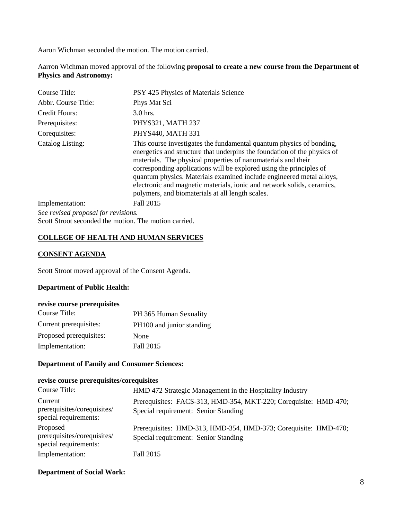Aaron Wichman seconded the motion. The motion carried.

Aarron Wichman moved approval of the following **proposal to create a new course from the Department of Physics and Astronomy:**

| Course Title:                       | PSY 425 Physics of Materials Science                                                                                                                                                                                                                                                                                                                                                                                                                                                           |
|-------------------------------------|------------------------------------------------------------------------------------------------------------------------------------------------------------------------------------------------------------------------------------------------------------------------------------------------------------------------------------------------------------------------------------------------------------------------------------------------------------------------------------------------|
| Abbr. Course Title:                 | Phys Mat Sci                                                                                                                                                                                                                                                                                                                                                                                                                                                                                   |
| Credit Hours:                       | 3.0 hrs.                                                                                                                                                                                                                                                                                                                                                                                                                                                                                       |
| Prerequisites:                      | PHYS321, MATH 237                                                                                                                                                                                                                                                                                                                                                                                                                                                                              |
| Corequisites:                       | PHYS440, MATH 331                                                                                                                                                                                                                                                                                                                                                                                                                                                                              |
| Catalog Listing:                    | This course investigates the fundamental quantum physics of bonding,<br>energetics and structure that underpins the foundation of the physics of<br>materials. The physical properties of nanomaterials and their<br>corresponding applications will be explored using the principles of<br>quantum physics. Materials examined include engineered metal alloys,<br>electronic and magnetic materials, ionic and network solids, ceramics,<br>polymers, and biomaterials at all length scales. |
| Implementation:                     | Fall 2015                                                                                                                                                                                                                                                                                                                                                                                                                                                                                      |
| See revised proposal for revisions. |                                                                                                                                                                                                                                                                                                                                                                                                                                                                                                |

Scott Stroot seconded the motion. The motion carried.

# **COLLEGE OF HEALTH AND HUMAN SERVICES**

#### **CONSENT AGENDA**

Scott Stroot moved approval of the Consent Agenda.

#### **Department of Public Health:**

#### **revise course prerequisites**

| Course Title:           | PH 365 Human Sexuality    |
|-------------------------|---------------------------|
| Current prerequisites:  | PH100 and junior standing |
| Proposed prerequisites: | None                      |
| Implementation:         | Fall 2015                 |

# **Department of Family and Consumer Sciences:**

#### **revise course prerequisites/corequisites**

| Course Title:                                                    | HMD 472 Strategic Management in the Hospitality Industry                                                 |
|------------------------------------------------------------------|----------------------------------------------------------------------------------------------------------|
| Current<br>prerequisites/corequisites/<br>special requirements:  | Prerequisites: FACS-313, HMD-354, MKT-220; Corequisite: HMD-470;<br>Special requirement: Senior Standing |
| Proposed<br>prerequisites/corequisites/<br>special requirements: | Prerequisites: HMD-313, HMD-354, HMD-373; Corequisite: HMD-470;<br>Special requirement: Senior Standing  |
| Implementation:                                                  | Fall 2015                                                                                                |

### **Department of Social Work:**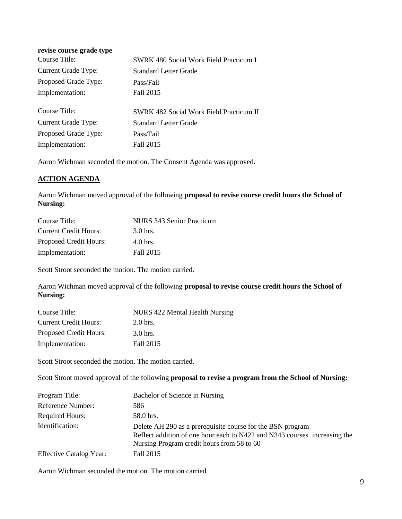| revise course grade type |                                                |
|--------------------------|------------------------------------------------|
| Course Title:            | <b>SWRK 480 Social Work Field Practicum I</b>  |
| Current Grade Type:      | <b>Standard Letter Grade</b>                   |
| Proposed Grade Type:     | Pass/Fail                                      |
| Implementation:          | Fall 2015                                      |
|                          |                                                |
| Course Title:            | <b>SWRK 482 Social Work Field Practicum II</b> |
| Current Grade Type:      | Standard Letter Grade                          |
| Proposed Grade Type:     | Pass/Fail                                      |
| Implementation:          | Fall 2015                                      |

Aaron Wichman seconded the motion. The Consent Agenda was approved.

# **ACTION AGENDA**

Aaron Wichman moved approval of the following **proposal to revise course credit hours the School of Nursing:**

| Course Title:                 | NURS 343 Senior Practicum |
|-------------------------------|---------------------------|
| <b>Current Credit Hours:</b>  | $3.0$ hrs.                |
| <b>Proposed Credit Hours:</b> | $4.0$ hrs.                |
| Implementation:               | Fall 2015                 |

Scott Stroot seconded the motion. The motion carried.

Aaron Wichman moved approval of the following **proposal to revise course credit hours the School of Nursing:**

| Course Title:                | NURS 422 Mental Health Nursing |
|------------------------------|--------------------------------|
| <b>Current Credit Hours:</b> | $2.0$ hrs.                     |
| Proposed Credit Hours:       | $3.0$ hrs.                     |
| Implementation:              | Fall 2015                      |

Scott Stroot seconded the motion. The motion carried.

Scott Stroot moved approval of the following **proposal to revise a program from the School of Nursing:**

| Program Title:                 | Bachelor of Science in Nursing                                                                                                                                                        |
|--------------------------------|---------------------------------------------------------------------------------------------------------------------------------------------------------------------------------------|
| Reference Number:              | 586                                                                                                                                                                                   |
| <b>Required Hours:</b>         | 58.0 hrs.                                                                                                                                                                             |
| Identification:                | Delete AH 290 as a prerequisite course for the BSN program<br>Reflect addition of one hour each to N422 and N343 courses increasing the<br>Nursing Program credit hours from 58 to 60 |
| <b>Effective Catalog Year:</b> | Fall 2015                                                                                                                                                                             |

Aaron Wichman seconded the motion. The motion carried.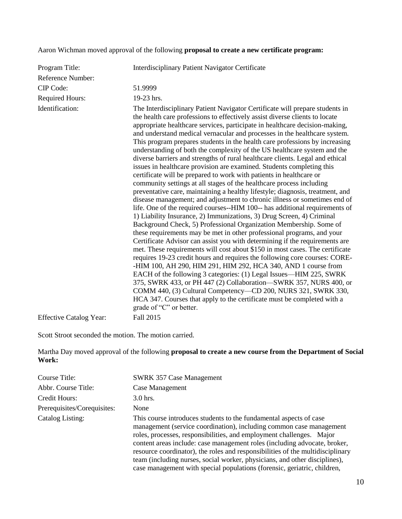# Aaron Wichman moved approval of the following **proposal to create a new certificate program:**

| Program Title:                 | Interdisciplinary Patient Navigator Certificate                                                                                                                                                                                                                                                                                                                                                                                                                                                                                                                                                                                                                                                                                                                                                                                                                                                                                                                                                                                                                                                                                                                                                                                                                                                                                                                                                                                                                                                                                                                                                                                                                                                                                                                                                                                                                                                    |
|--------------------------------|----------------------------------------------------------------------------------------------------------------------------------------------------------------------------------------------------------------------------------------------------------------------------------------------------------------------------------------------------------------------------------------------------------------------------------------------------------------------------------------------------------------------------------------------------------------------------------------------------------------------------------------------------------------------------------------------------------------------------------------------------------------------------------------------------------------------------------------------------------------------------------------------------------------------------------------------------------------------------------------------------------------------------------------------------------------------------------------------------------------------------------------------------------------------------------------------------------------------------------------------------------------------------------------------------------------------------------------------------------------------------------------------------------------------------------------------------------------------------------------------------------------------------------------------------------------------------------------------------------------------------------------------------------------------------------------------------------------------------------------------------------------------------------------------------------------------------------------------------------------------------------------------------|
| <b>Reference Number:</b>       |                                                                                                                                                                                                                                                                                                                                                                                                                                                                                                                                                                                                                                                                                                                                                                                                                                                                                                                                                                                                                                                                                                                                                                                                                                                                                                                                                                                                                                                                                                                                                                                                                                                                                                                                                                                                                                                                                                    |
| CIP Code:                      | 51.9999                                                                                                                                                                                                                                                                                                                                                                                                                                                                                                                                                                                                                                                                                                                                                                                                                                                                                                                                                                                                                                                                                                                                                                                                                                                                                                                                                                                                                                                                                                                                                                                                                                                                                                                                                                                                                                                                                            |
| <b>Required Hours:</b>         | 19-23 hrs.                                                                                                                                                                                                                                                                                                                                                                                                                                                                                                                                                                                                                                                                                                                                                                                                                                                                                                                                                                                                                                                                                                                                                                                                                                                                                                                                                                                                                                                                                                                                                                                                                                                                                                                                                                                                                                                                                         |
| Identification:                | The Interdisciplinary Patient Navigator Certificate will prepare students in<br>the health care professions to effectively assist diverse clients to locate<br>appropriate healthcare services, participate in healthcare decision-making,<br>and understand medical vernacular and processes in the healthcare system.<br>This program prepares students in the health care professions by increasing<br>understanding of both the complexity of the US healthcare system and the<br>diverse barriers and strengths of rural healthcare clients. Legal and ethical<br>issues in healthcare provision are examined. Students completing this<br>certificate will be prepared to work with patients in healthcare or<br>community settings at all stages of the healthcare process including<br>preventative care, maintaining a healthy lifestyle; diagnosis, treatment, and<br>disease management; and adjustment to chronic illness or sometimes end of<br>life. One of the required courses--HIM 100-- has additional requirements of<br>1) Liability Insurance, 2) Immunizations, 3) Drug Screen, 4) Criminal<br>Background Check, 5) Professional Organization Membership. Some of<br>these requirements may be met in other professional programs, and your<br>Certificate Advisor can assist you with determining if the requirements are<br>met. These requirements will cost about \$150 in most cases. The certificate<br>requires 19-23 credit hours and requires the following core courses: CORE-<br>-HIM 100, AH 290, HIM 291, HIM 292, HCA 340, AND 1 course from<br>EACH of the following 3 categories: (1) Legal Issues—HIM 225, SWRK<br>375, SWRK 433, or PH 447 (2) Collaboration-SWRK 357, NURS 400, or<br>COMM 440, (3) Cultural Competency—CD 200, NURS 321, SWRK 330,<br>HCA 347. Courses that apply to the certificate must be completed with a<br>grade of "C" or better. |
| <b>Effective Catalog Year:</b> | Fall 2015                                                                                                                                                                                                                                                                                                                                                                                                                                                                                                                                                                                                                                                                                                                                                                                                                                                                                                                                                                                                                                                                                                                                                                                                                                                                                                                                                                                                                                                                                                                                                                                                                                                                                                                                                                                                                                                                                          |

Scott Stroot seconded the motion. The motion carried.

Martha Day moved approval of the following **proposal to create a new course from the Department of Social Work:**

| Course Title:               | <b>SWRK 357 Case Management</b>                                                                                                                                                                                                                                                                                                                                                                                                                                                                                                            |
|-----------------------------|--------------------------------------------------------------------------------------------------------------------------------------------------------------------------------------------------------------------------------------------------------------------------------------------------------------------------------------------------------------------------------------------------------------------------------------------------------------------------------------------------------------------------------------------|
| Abbr. Course Title:         | Case Management                                                                                                                                                                                                                                                                                                                                                                                                                                                                                                                            |
| Credit Hours:               | $3.0$ hrs.                                                                                                                                                                                                                                                                                                                                                                                                                                                                                                                                 |
| Prerequisites/Corequisites: | None                                                                                                                                                                                                                                                                                                                                                                                                                                                                                                                                       |
| Catalog Listing:            | This course introduces students to the fundamental aspects of case<br>management (service coordination), including common case management<br>roles, processes, responsibilities, and employment challenges. Major<br>content areas include: case management roles (including advocate, broker,<br>resource coordinator), the roles and responsibilities of the multidisciplinary<br>team (including nurses, social worker, physicians, and other disciplines),<br>case management with special populations (forensic, geriatric, children, |